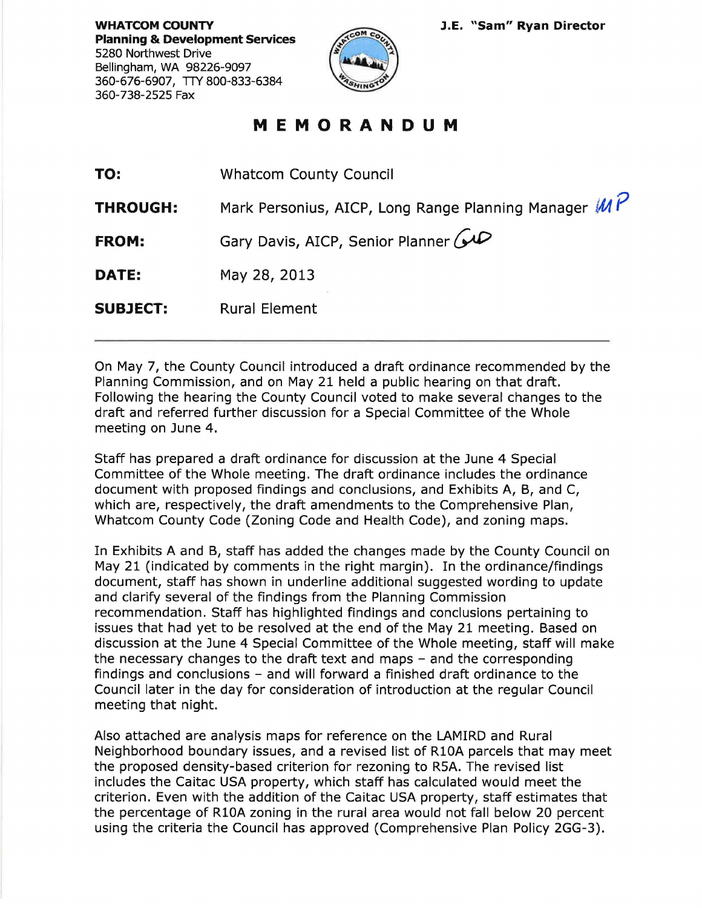**WHATCOM COUNTY Planning & Development Services**  5280 Northwest Drive Bellingham, WA 98226-9097 360-676-6907, TTY 800-833-6384 360-738-2525 Fax



## **MEMORANDUM**

| TO:             | <b>Whatcom County Council</b>                        |
|-----------------|------------------------------------------------------|
| <b>THROUGH:</b> | Mark Personius, AICP, Long Range Planning Manager MP |
| <b>FROM:</b>    | Gary Davis, AICP, Senior Planner (40                 |
| <b>DATE:</b>    | May 28, 2013                                         |
| <b>SUBJECT:</b> | <b>Rural Element</b>                                 |

On May 7, the County Council introduced a draft ordinance recommended by the Planning Commission, and on May 21 held a public hearing on that draft. Following the hearing the County Council voted to make several changes to the draft and referred further discussion for a Special Committee of the Whole meeting on June 4.

Staff has prepared a draft ordinance for discussion at the June 4 Special Committee of the Whole meeting. The draft ordinance includes the ordinance document with proposed findings and conclusions, and Exhibits A, B, and C, which are, respectively, the draft amendments to the Comprehensive Plan, Whatcom County Code (Zoning Code and Health Code), and zoning maps.

In Exhibits A and B, staff has added the changes made by the County Council on May 21 (indicated by comments in the right margin). In the ordinance/findings document, staff has shown in underline additional suggested wording to update and clarify several of the findings from the Planning Commission recommendation. Staff has highlighted findings and conclusions pertaining to issues that had yet to be resolved at the end of the May 21 meeting. Based on discussion at the June 4 Special Committee of the Whole meeting, staff will make the necessary changes to the draft text and maps  $-$  and the corresponding findings and conclusions - and will forward a finished draft ordinance to the Council later in the day for consideration of introduction at the regular Council meeting that night.

Also attached are analysis maps for reference on the LAMIRD and Rural Neighborhood boundary issues, and a revised list of R10A parcels that may meet the proposed density-based criterion for rezoning to RSA. The revised list includes the Caitac USA property, which staff has calculated would meet the criterion. Even with the addition of the Caitac USA property, staff estimates that the percentage of R10A zoning in the rural area would not fall below 20 percent using the criteria the Council has approved (Comprehensive Plan Policy 2GG-3).